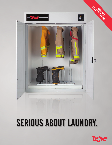

# SERIOUS ABOUT LAUNDRY.